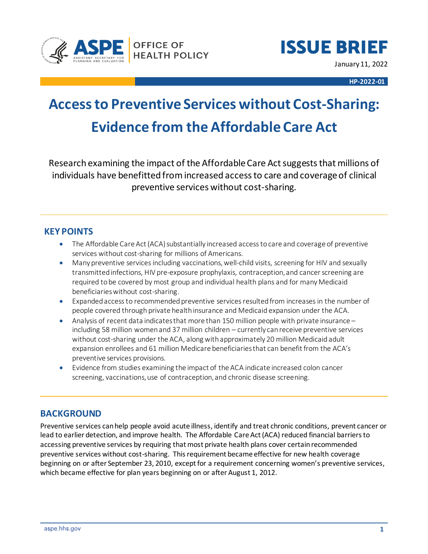



January 11, 2022

**HP-2022-01**

# **Access to Preventive Services without Cost-Sharing: Evidence from the Affordable Care Act**

Research examining the impact of the Affordable Care Act suggests that millions of individuals have benefitted from increased access to care and coverage of clinical preventive services without cost-sharing.

# **KEY POINTS**

- The Affordable Care Act (ACA) substantially increased access to care and coverage of preventive services without cost-sharing for millions of Americans.
- Many preventive services including vaccinations, well-child visits, screening for HIV and sexually transmitted infections, HIV pre-exposure prophylaxis, contraception, and cancer screening are required to be covered by most group and individual health plans and for many Medicaid beneficiarieswithout cost-sharing.
- Expanded access to recommended preventive services resulted from increases in the number of people covered through private health insurance and Medicaid expansion under the ACA.
- Analysis of recent data indicates that more than 150 million people with private insurance including 58 million women and 37 million children – currently can receive preventive services without cost-sharing under the ACA, along with approximately 20 million Medicaid adult expansion enrollees and 61 million Medicare beneficiaries that can benefit from the ACA's preventive services provisions.
- Evidence from studies examining the impact of the ACA indicate increased colon cancer screening, vaccinations, use of contraception, and chronic disease screening.

# **BACKGROUND**

Preventive services can help people avoid acute illness, identify and treat chronic conditions, prevent cancer or lead to earlier detection, and improve health. The Affordable Care Act (ACA) reduced financial barriers to accessing preventive services by requiring that most private health plans cover certain recommended preventive services without cost-sharing. This requirement became effective for new health coverage beginning on or after September 23, 2010, except for a requirement concerning women's preventive services, which became effective for plan years beginning on or after August 1, 2012.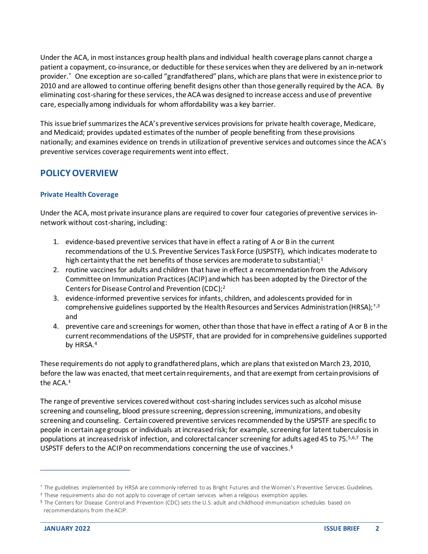Under the ACA, in most instances group health plans and individual health coverage plans cannot charge a patient a copayment, co-insurance, or deductible for these services when they are delivered by an in-network provider.\* One exception are so-called "grandfathered" plans, which are plans that were in existence prior to 2010 and are allowed to continue offering benefit designs other than those generally required by the ACA. By eliminating cost-sharing for these services, the ACA was designed to increase access and use of preventive care, especially among individuals for whom affordability was a key barrier.

This issue brief summarizes the ACA's preventive services provisions for private health coverage, Medicare, and Medicaid; provides updated estimates of the number of people benefiting from these provisions nationally; and examines evidence on trends in utilization of preventive services and outcomes since the ACA's preventive services coverage requirements went into effect.

# **POLICY OVERVIEW**

#### **Private Health Coverage**

Under the ACA, most private insurance plans are required to cover four categories of preventive services innetwork without cost-sharing, including:

- 1. evidence-based preventive services that have in effect a rating of A or B in the current recommendations of the U.S. Preventive Services Task Force (USPSTF), which indicates moderate to high certainty that the net benefits of those services are moderate to substantial;<sup>1</sup>
- 2. routine vaccines for adults and children that have in effect a recommendation from the Advisory Committee on Immunization Practices (ACIP) and which has been adopted by the Director of the Centers for Disease Control and Prevention (CDC); 2
- 3. evidence-informed preventive services for infants, children, and adolescents provided for in comprehensive guidelines supported by the Health Resources and Services Administration (HRSA);  $\frac{1}{3}$ , and
- 4. preventive care and screenings for women, other than those that have in effect a rating of A or B in the current recommendations of the USPSTF, that are provided for in comprehensive guidelines supported by HRSA.<sup>4</sup>

These requirements do not apply to grandfathered plans, which are plans that existed on March 23, 2010, before the law was enacted, that meet certain requirements, and that are exempt from certain provisions of the ACA.‡

The range of preventive services covered without cost-sharing includes services such as alcohol misuse screening and counseling, blood pressure screening, depression screening, immunizations, and obesity screening and counseling. Certain covered preventive services recommended by the USPSTF are specific to people in certain age groups or individuals at increased risk; for example, screening for latent tuberculosis in populations at increased risk of infection, and colorectal cancer screening for adults aged 45 to 75.5,6,7 The USPSTF defers to the ACIP on recommendations concerning the use of vaccines. §

<sup>†</sup> The guidelines implemented by HRSA are commonly referred to as Bright Futures and the Women's Preventive Services Guidelines.

<sup>‡</sup> These requirements also do not apply to coverage of certain services when a religious exemption applies.

<sup>§</sup> The Centers for Disease Control and Prevention (CDC) sets the U.S. adult and childhood immunization schedules based on recommendations from the ACIP.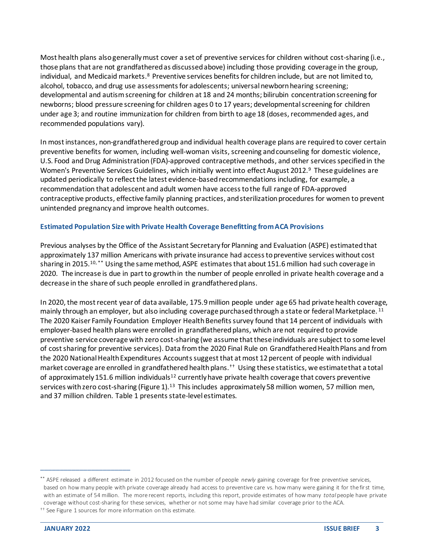Most health plans alsogenerallymust cover a set of preventive services for children without cost-sharing (i.e., those plans that are not grandfathered as discussed above) including those providing coverage in the group, individual, and Medicaid markets.<sup>8</sup> Preventive services benefits for children include, but are not limited to, alcohol, tobacco, and drug use assessments for adolescents; universal newborn hearing screening; developmental and autism screening for children at 18 and 24 months; bilirubin concentration screening for newborns; blood pressure screening for children ages 0 to 17 years; developmental screening for children under age 3; and routine immunization for children from birth to age 18 (doses, recommended ages, and recommended populations vary).

In most instances, non-grandfathered group and individual health coverage plans are required to cover certain preventive benefits for women, including well-woman visits, screening and counseling for domestic violence, U.S. Food and Drug Administration (FDA)-approved contraceptive methods, and other services specified in the Women's Preventive Services Guidelines, which initially went into effect August 2012.<sup>9</sup> These guidelines are updated periodically to reflect the latest evidence-based recommendations including, for example, a recommendation that adolescent and adult women have access to the full range of FDA-approved contraceptive products, effective family planning practices, and sterilization procedures for women to prevent unintended pregnancy and improve health outcomes.

#### **Estimated Population Size with Private Health Coverage Benefitting from ACA Provisions**

Previous analyses by the Office of the Assistant Secretary for Planning and Evaluation (ASPE) estimated that approximately 137 million Americans with private insurance had access to preventive services without cost sharing in 2015. 10, \*\* Using the same method, ASPE estimates that about 151.6 million had such coverage in 2020. The increase is due in part to growth in the number of people enrolled in private health coverage and a decrease in the share of such people enrolled in grandfathered plans.

In 2020, the most recent year of data available, 175.9million people under age 65 had private health coverage, mainly through an employer, but also including coverage purchased through a state or federal Marketplace. <sup>11</sup> The 2020 Kaiser Family Foundation Employer Health Benefits survey found that 14 percent of individuals with employer-based health plans were enrolled in grandfathered plans, which are not required to provide preventive service coverage with zero cost-sharing (we assume that these individuals are subject to some level of cost sharing for preventive services). Data from the 2020 Final Rule on Grandfathered Health Plans and from the 2020 National Health Expenditures Accountssuggest that at most 12 percent of people with individual market coverage are enrolled in grandfathered health plans.†† Using these statistics, we estimate that a total of approximately 151.6 million individuals<sup>12</sup> currently have private health coverage that covers preventive services with zero cost-sharing (Figure 1).<sup>13</sup> This includes approximately 58 million women, 57 million men, and 37 million children. Table 1 presents state-level estimates.

<sup>††</sup> See Figure 1 sources for more information on this estimate.

<sup>\*\*</sup> ASPE released a different estimate in 2012 focused on the number of people *newly* gaining coverage for free preventive services, based on how many people with private coverage already had access to preventive care vs. how many were gaining it for the first time, with an estimate of 54 million. The more recent reports, including this report, provide estimates of how many *total* people have private coverage without cost-sharing for these services, whether or not some may have had similar coverage prior to the ACA.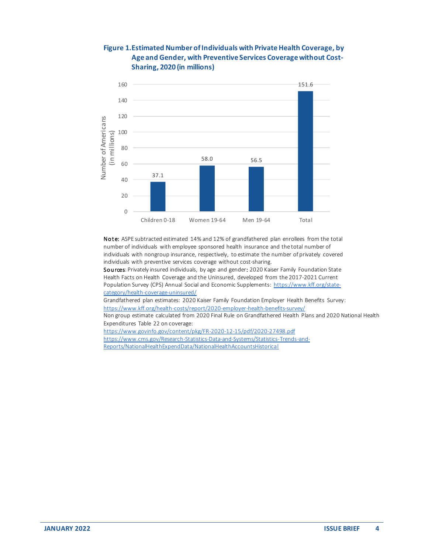## **Figure 1. Estimated Number of Individuals with Private Health Coverage, by Age and Gender, with Preventive Services Coverage without Cost-Sharing, 2020 (in millions)**



Note: ASPE subtracted estimated 14% and 12% of grandfathered plan enrollees from the total number of individuals with employee sponsored health insurance and the total number of individuals with nongroup insurance, respectively, to estimate the number of privately covered individuals with preventive services coverage without cost-sharing.

Sources: Privately insured individuals, by age and gender: 2020 Kaiser Family Foundation State Health Facts on Health Coverage and the Uninsured, developed from the 2017-2021 Current Population Survey (CPS) Annual Social and Economic Supplements[: https://www.kff.org/state](https://www.kff.org/state-category/health-coverage-uninsured/)[category/health-coverage-uninsured/](https://www.kff.org/state-category/health-coverage-uninsured/)

Grandfathered plan estimates: 2020 Kaiser Family Foundation Employer Health Benefits Survey: <https://www.kff.org/health-costs/report/2020-employer-health-benefits-survey/>

Non group estimate calculated from 2020 Final Rule on Grandfathered Health Plans and 2020 National Health Expenditures Table 22 on coverage:

<https://www.govinfo.gov/content/pkg/FR-2020-12-15/pdf/2020-27498.pdf> [https://www.cms.gov/Research-Statistics-Data-and-Systems/Statistics-Trends-and-](https://www.cms.gov/Research-Statistics-Data-and-Systems/Statistics-Trends-and-Reports/NationalHealthExpendData/NationalHealthAccountsHistorical)[Reports/NationalHealthExpendData/NationalHealthAccountsHistorical](https://www.cms.gov/Research-Statistics-Data-and-Systems/Statistics-Trends-and-Reports/NationalHealthExpendData/NationalHealthAccountsHistorical)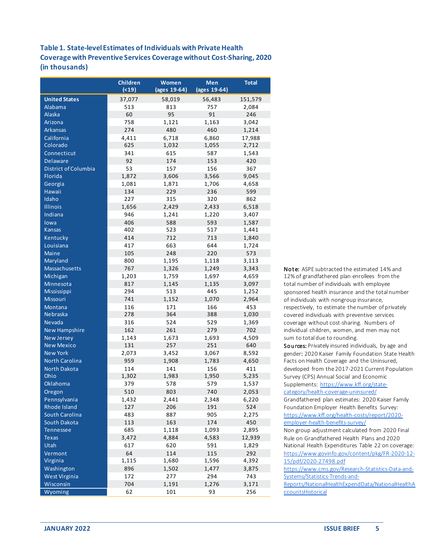## **Table 1. State-level Estimates of Individuals with Private Health Coverage with Preventive Services Coverage without Cost-Sharing, 2020 (in thousands)**

|                       | <b>Children</b><br>( < 19) | Women<br>(ages 19-64) | Men<br>(ages 19-64) | <b>Total</b> |
|-----------------------|----------------------------|-----------------------|---------------------|--------------|
| <b>United States</b>  | 37,077                     | 58,019                | 56,483              | 151,579      |
| Alabama               | 513                        | 813                   | 757                 | 2,084        |
| <b>Alaska</b>         | 60                         | 95                    | 91                  | 246          |
| Arizona               | 758                        | 1,121                 | 1,163               | 3,042        |
| <b>Arkansas</b>       | 274                        | 480                   | 460                 | 1,214        |
| California            | 4,411                      | 6,718                 | 6,860               | 17,988       |
| Colorado              | 625                        | 1,032                 | 1,055               | 2,712        |
| Connecticut           | 341                        | 615                   | 587                 | 1,543        |
| <b>Delaware</b>       | 92                         | 174                   | 153                 | 420          |
| District of Columbia  | 53                         | 157                   | 156                 | 367          |
| Florida               | 1,872                      | 3,606                 | 3,566               | 9,045        |
| Georgia               | 1,081                      | 1,871                 | 1,706               | 4,658        |
| <b>Hawaii</b>         | 134                        | 229                   | 236                 | 599          |
| Idaho                 | 227                        | 315                   | 320                 | 862          |
| Illinois              | 1,656                      | 2,429                 | 2,433               | 6,518        |
| Indiana               | 946                        | 1,241                 | 1,220               | 3,407        |
| lowa                  | 406                        | 588                   | 593                 | 1,587        |
| <b>Kansas</b>         | 402                        | 523                   | 517                 | 1,441        |
| Kentucky              | 414                        | 712                   | 713                 | 1,840        |
| Louisiana             | 417                        | 663                   | 644                 | 1,724        |
| <b>Maine</b>          | 105                        | 248                   | 220                 | 573          |
| Maryland              | 800                        | 1,195                 | 1,118               | 3,113        |
| Massachusetts         | 767                        | 1,326                 | 1,249               | 3,343        |
| Michigan              | 1,203                      | 1,759                 | 1,697               | 4,659        |
| Minnesota             | 817                        | 1,145                 | 1,135               | 3,097        |
| Mississippi           | 294                        | 513                   | 445                 | 1,252        |
| Missouri              | 741                        | 1,152                 | 1,070               | 2,964        |
| Montana<br>Nebraska   | 116<br>278                 | 171<br>364            | 166<br>388          | 453<br>1,030 |
| Nevada                | 316                        | 524                   | 529                 | 1,369        |
| <b>New Hampshire</b>  | 162                        | 261                   | 279                 | 702          |
| <b>New Jersey</b>     | 1,143                      | 1,673                 | 1,693               | 4,509        |
| <b>New Mexico</b>     | 131                        | 257                   | 251                 | 640          |
| <b>New York</b>       | 2,073                      | 3,452                 | 3,067               | 8,592        |
| <b>North Carolina</b> | 959                        | 1,908                 | 1,783               | 4,650        |
| <b>North Dakota</b>   | 114                        | 141                   | 156                 | 411          |
| Ohio                  | 1,302                      | 1,983                 | 1,950               | 5,235        |
| Oklahoma              | 379                        | 578                   | 579                 | 1,537        |
| Oregon                | 510                        | 803                   | 740                 | 2,053        |
| Pennsylvania          | 1,432                      | 2,441                 | 2,348               | 6,220        |
| Rhode Island          | 127                        | 206                   | 191                 | 524          |
| South Carolina        | 483                        | 887                   | 905                 | 2,275        |
| South Dakota          | 113                        | 163                   | 174                 | 450          |
| <b>Tennessee</b>      | 685                        | 1,118                 | 1,093               | 2,895        |
| <b>Texas</b>          | 3,472                      | 4,884                 | 4,583               | 12,939       |
| Utah                  | 617                        | 620                   | 591                 | 1,829        |
| Vermont               | 64                         | 114                   | 115                 | 292          |
| Virginia              | 1,115                      | 1,680                 | 1,596               | 4,392        |
| Washington            | 896                        | 1,502                 | 1,477               | 3,875        |
| <b>West Virginia</b>  | 172                        | 277                   | 294                 | 743          |
| Wisconsin             | 704                        | 1,191                 | 1,276               | 3,171        |
| Wyoming               | 62                         | 101                   | 93                  | 256          |

Note: ASPE subtracted the estimated 14% and 12% of grandfathered plan enrollees from the total number of individuals with employee sponsored health insurance and the total number of individuals with nongroup insurance, respectively, to estimate the number of privately covered individuals with preventive services coverage without cost-sharing. Numbers of individual children, women, and men may not sum to total due to rounding.

Sources: Privately insured individuals, by age and gender: 2020 Kaiser Family Foundation State Health Facts on Health Coverage and the Uninsured, developed from the 2017-2021 Current Population Survey (CPS) Annual Social and Economic Supplements: [https://www.kff.org/state](https://www.kff.org/state-category/health-coverage-uninsured/)[category/health-coverage-uninsured/](https://www.kff.org/state-category/health-coverage-uninsured/) Grandfathered plan estimates: 2020 Kaiser Family Foundation Employer Health Benefits Survey: [https://www.kff.org/health-costs/report/2020](https://www.kff.org/health-costs/report/2020-employer-health-benefits-survey/) [employer-health-benefits-survey/](https://www.kff.org/health-costs/report/2020-employer-health-benefits-survey/) Non group adjustment calculated from 2020 Final Rule on Grandfathered Health Plans and 2020 National Health Expenditures Table 22 on coverage: [https://www.govinfo.gov/content/pkg/FR-2020-12-](https://www.govinfo.gov/content/pkg/FR-2020-12-15/pdf/2020-27498.pdf) [15/pdf/2020-27498.pdf](https://www.govinfo.gov/content/pkg/FR-2020-12-15/pdf/2020-27498.pdf) [https://www.cms.gov/Research-Statistics-Data-and-](https://www.cms.gov/Research-Statistics-Data-and-Systems/Statistics-Trends-and-Reports/NationalHealthExpendData/NationalHealthAccountsHistorical)[Systems/Statistics-Trends-and-](https://www.cms.gov/Research-Statistics-Data-and-Systems/Statistics-Trends-and-Reports/NationalHealthExpendData/NationalHealthAccountsHistorical)[Reports/NationalHealthExpendData/NationalHealthA](https://www.cms.gov/Research-Statistics-Data-and-Systems/Statistics-Trends-and-Reports/NationalHealthExpendData/NationalHealthAccountsHistorical) **[ccountsHistorical](https://www.cms.gov/Research-Statistics-Data-and-Systems/Statistics-Trends-and-Reports/NationalHealthExpendData/NationalHealthAccountsHistorical)**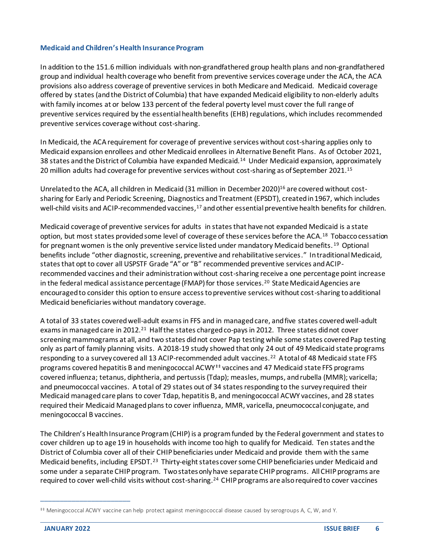#### **Medicaid and Children's Health Insurance Program**

In addition to the 151.6 million individuals with non-grandfathered group health plans and non-grandfathered group and individual health coverage who benefit from preventive services coverage under the ACA, the ACA provisions also address coverage of preventive services in both Medicare and Medicaid. Medicaid coverage offered by states (and the District of Columbia) that have expanded Medicaid eligibility to non-elderly adults with family incomes at or below 133 percent of the federal poverty level must cover the full range of preventive services required by the essential health benefits (EHB) regulations, which includes recommended preventive services coverage without cost-sharing.

In Medicaid, the ACA requirement for coverage of preventive services without cost-sharing applies only to Medicaid expansion enrollees and other Medicaid enrollees in Alternative Benefit Plans. As of October 2021, 38 states and the District of Columbia have expanded Medicaid.<sup>14</sup> Under Medicaid expansion, approximately 20 million adults had coverage for preventive services without cost-sharing as of September 2021. 15

Unrelated to the ACA, all children in Medicaid (31 million in December 2020) <sup>16</sup> are covered without costsharing for Early and Periodic Screening, Diagnostics and Treatment (EPSDT), created in 1967, which includes well-child visits and ACIP-recommended vaccines,<sup>17</sup> and other essential preventive health benefits for children.

Medicaid coverage of preventive services for adults in states that have not expanded Medicaid is a state option, but most states provided some level of coverage of these services before the ACA.<sup>18</sup> Tobacco cessation for pregnant women is the only preventive service listed under mandatory Medicaid benefits. <sup>19</sup> Optional benefits include "other diagnostic, screening, preventive and rehabilitative services." In traditional Medicaid, states that opt to cover all USPSTF Grade "A" or "B" recommended preventive services and ACIPrecommended vaccines and their administration without cost-sharing receive a one percentage point increase in the federal medical assistance percentage (FMAP) for those services.<sup>20</sup> State Medicaid Agencies are encouraged to consider this option to ensure access to preventive services without cost-sharing to additional Medicaid beneficiaries without mandatory coverage.

A total of 33 states covered well-adult exams in FFS and in managed care, and five states covered well-adult exams in managed care in 2012.<sup>21</sup> Half the states charged co-pays in 2012. Three states did not cover screening mammograms at all, and two states did not cover Pap testing while some states covered Pap testing only as part of family planning visits. A 2018-19 study showed that only 24 out of 49 Medicaid state programs responding to a survey covered all 13 ACIP-recommended adult vaccines.<sup>22</sup> A total of 48 Medicaid state FFS programs covered hepatitis B and meningococcal ACWY<sup>##</sup> vaccines and 47 Medicaid state FFS programs covered influenza; tetanus, diphtheria, and pertussis (Tdap); measles, mumps, and rubella (MMR); varicella; and pneumococcal vaccines. A total of 29 states out of 34 states responding to the survey required their Medicaid managed care plans to cover Tdap, hepatitis B, and meningococcal ACWY vaccines, and 28 states required their Medicaid Managed plans to cover influenza, MMR, varicella, pneumococcal conjugate, and meningococcal B vaccines.

The Children's Health Insurance Program (CHIP) is a program funded by the Federal government and states to cover children up to age 19 in households with income too high to qualify for Medicaid. Ten states and the District of Columbia cover all of their CHIP beneficiaries under Medicaid and provide them with the same Medicaid benefits, including EPSDT.<sup>23</sup> Thirty-eight states cover some CHIP beneficiaries under Medicaid and some under a separate CHIP program. Two states only have separate CHIP programs. All CHIP programs are required to cover well-child visits without cost-sharing.<sup>24</sup> CHIP programs are also required to cover vaccines

<sup>‡‡</sup> Meningococcal ACWY vaccine can help protect against meningococcal disease caused by serogroups A, C, W, and Y.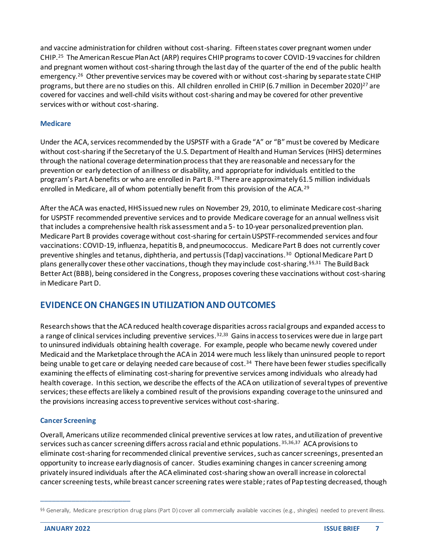and vaccine administration for children without cost-sharing. Fifteen states cover pregnant women under CHIP.<sup>25</sup> The American Rescue Plan Act (ARP) requires CHIP programs to cover COVID-19 vaccines for children and pregnant women without cost-sharing through the last day of the quarter of the end of the public health emergency.<sup>26</sup> Other preventive services may be covered with or without cost-sharing by separate state CHIP programs, but there are no studies on this. All children enrolled in CHIP (6.7 million in December 2020)<sup>27</sup> are covered for vaccines and well-child visits without cost-sharing and may be covered for other preventive services with or without cost-sharing.

#### **Medicare**

Under the ACA, services recommended by the USPSTF with a Grade "A" or "B" must be covered by Medicare without cost-sharing if the Secretary of the U.S. Department of Health and Human Services (HHS) determines through the national coverage determination processthat they are reasonable and necessary for the prevention or early detection of an illness or disability, and appropriate for individuals entitled to the program's Part A benefits or who are enrolled in Part B. <sup>28</sup> There are approximately 61.5 million individuals enrolled in Medicare, all of whom potentially benefit from this provision of the ACA.<sup>29</sup>

After the ACA was enacted, HHS issued new rules on November 29, 2010, to eliminate Medicare cost-sharing for USPSTF recommended preventive services and to provide Medicare coverage for an annual wellness visit that includes a comprehensive health risk assessment and a 5- to 10-year personalized prevention plan. Medicare Part B provides coverage without cost-sharing for certainUSPSTF-recommended services and four vaccinations: COVID-19, influenza, hepatitis B, and pneumococcus. Medicare Part B does not currently cover preventive shingles and tetanus, diphtheria, and pertussis (Tdap) vaccinations.<sup>30</sup> Optional Medicare Part D plans generally cover these other vaccinations, though they may include cost-sharing.§§,31 The Build Back Better Act (BBB), being considered in the Congress, proposes covering these vaccinations without cost-sharing in Medicare Part D.

# **EVIDENCE ON CHANGES IN UTILIZATION AND OUTCOMES**

Research shows that the ACA reduced health coverage disparities across racial groups and expanded access to a range of clinical services including preventive services.<sup>32,33</sup> Gains in access to services were due in large part to uninsured individuals obtaining health coverage. For example, people who became newly covered under Medicaid and the Marketplace through the ACA in 2014 were much less likely than uninsured people to report being unable to get care or delaying needed care because of cost.<sup>34</sup> There have been fewer studies specifically examining the effects of eliminating cost-sharing for preventive services among individuals who already had health coverage. In this section, we describe the effects of the ACA on utilization of several types of preventive services;these effects are likely a combined result of the provisions expanding coverage to the uninsured and the provisions increasing access to preventive services without cost-sharing.

## **Cancer Screening**

Overall, Americans utilize recommended clinical preventive services at low rates, and utilization of preventive services such as cancer screening differs across racial and ethnic populations. <sup>35,36,37</sup> ACA provisions to eliminate cost-sharing for recommended clinical preventive services, such as cancer screenings, presented an opportunity to increase early diagnosis of cancer. Studies examining changes in cancer screening among privately insured individuals after the ACA eliminated cost-sharing show an overall increase in colorectal cancer screening tests, while breast cancer screening rates were stable;rates of Pap testing decreased, though

<sup>§§</sup> Generally, Medicare prescription drug plans (Part D) cover all commercially available vaccines (e.g., shingles) needed to prevent illness.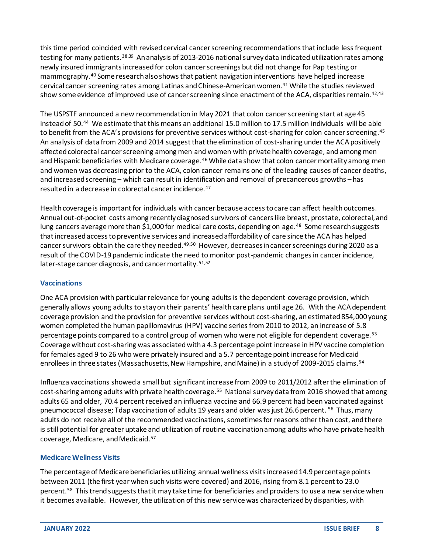this time period coincided with revised cervical cancer screening recommendations that include less frequent testing for many patients.<sup>38,39</sup> An analysis of 2013-2016 national survey data indicated utilization rates among newly insured immigrants increased for colon cancer screenings but did not change for Pap testing or mammography.<sup>40</sup> Some research also showsthat patient navigation interventions have helped increase cervical cancer screening rates among Latinas and Chinese-American women. <sup>41</sup> While the studies reviewed show some evidence of improved use of cancer screening since enactment of the ACA, disparities remain.<sup>42,43</sup>

The USPSTF announced a new recommendation in May 2021 that colon cancer screening start at age 45 instead of 50. <sup>44</sup> We estimate that this means an additional 15.0 million to 17.5 million individuals will be able to benefit from the ACA's provisions for preventive services without cost-sharing for colon cancer screening.<sup>45</sup> An analysis of data from 2009 and 2014 suggest that the elimination of cost-sharing under the ACA positively affected colorectal cancer screening among men and women with private health coverage, and among men and Hispanic beneficiaries with Medicare coverage.<sup>46</sup> While data show that colon cancer mortality among men and women was decreasing prior to the ACA, colon cancer remains one of the leading causes of cancer deaths, and increased screening – which can result in identification and removal of precancerous growths – has resulted in a decrease in colorectal cancer incidence.<sup>47</sup>

Health coverage is important for individuals with cancer because access to care can affect health outcomes. Annual out-of-pocket costs among recently diagnosed survivors of cancers like breast, prostate, colorectal, and lung cancers average more than \$1,000 for medical care costs, depending on age.<sup>48</sup> Some research suggests that increased access to preventive services and increased affordability of care since the ACA has helped cancer survivors obtain the care they needed.<sup>49,50</sup> However, decreases in cancer screenings during 2020 as a result of the COVID-19 pandemic indicate the need to monitor post-pandemic changes in cancer incidence, later-stage cancer diagnosis, and cancer mortality.<sup>51,52</sup>

## **Vaccinations**

One ACA provision with particular relevance for young adults is the dependent coverage provision, which generally allows young adults to stay on their parents' health care plans until age 26. With the ACA dependent coverage provision and the provision for preventive services without cost-sharing, an estimated 854,000 young women completed the human papillomavirus (HPV) vaccine series from 2010 to 2012, an increase of 5.8 percentage points compared to a control group of women who were not eligible for dependent coverage.<sup>53</sup> Coverage without cost-sharing was associated with a 4.3 percentage point increase in HPV vaccine completion for females aged 9 to 26 who were privately insured and a 5.7 percentage point increase for Medicaid enrollees in three states (Massachusetts, New Hampshire, and Maine) in a study of 2009-2015 claims.<sup>54</sup>

Influenza vaccinations showed a small but significant increase from 2009 to 2011/2012 after the elimination of cost-sharing among adults with private health coverage.<sup>55</sup> National survey data from 2016 showed that among adults 65 and older, 70.4 percent received an influenza vaccine and 66.9 percent had been vaccinated against pneumococcal disease; Tdap vaccination of adults 19 years and older was just 26.6 percent. <sup>56</sup> Thus, many adults do not receive all of the recommended vaccinations, sometimes for reasons other than cost, and there is still potential for greater uptake and utilization of routine vaccination among adults who have private health coverage, Medicare, and Medicaid. 57

#### **Medicare Wellness Visits**

The percentage of Medicare beneficiaries utilizing annual wellness visits increased 14.9 percentage points between 2011 (the first year when such visits were covered) and 2016, rising from 8.1 percent to 23.0 percent.<sup>58</sup> This trend suggests that it may take time for beneficiaries and providers to use a new service when it becomes available. However, the utilization of this new service was characterized by disparities, with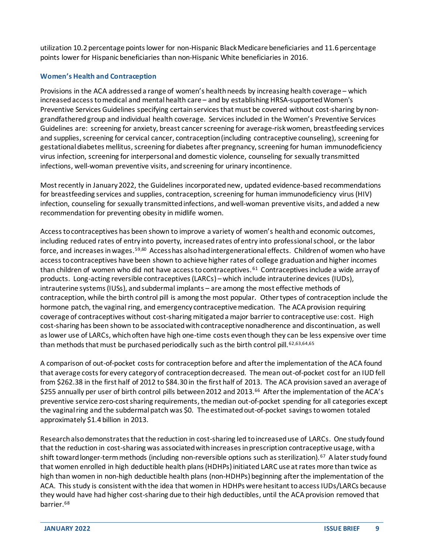utilization 10.2 percentage points lower for non-Hispanic Black Medicare beneficiaries and 11.6 percentage points lower for Hispanic beneficiaries than non-Hispanic White beneficiaries in 2016.

## **Women's Health and Contraception**

Provisions in the ACA addresseda range of women's health needs by increasing health coverage – which increased access to medical and mentalhealth care – and by establishing HRSA-supported Women's Preventive Services Guidelines specifying certain services that must be covered without cost-sharing by nongrandfathered group and individual health coverage. Services included in the Women's Preventive Services Guidelines are: screening for anxiety, breast cancer screening for average-risk women, breastfeeding services and supplies, screening for cervical cancer, contraception (including contraceptive counseling), screening for gestational diabetes mellitus, screening for diabetes after pregnancy, screening for human immunodeficiency virus infection, screening for interpersonal and domestic violence, counseling for sexually transmitted infections, well-woman preventive visits, andscreening for urinary incontinence.

Most recently in January 2022, the Guidelines incorporated new, updated evidence-based recommendations for breastfeeding services and supplies, contraception, screening for human immunodeficiency virus (HIV) infection, counseling for sexually transmitted infections, and well-woman preventive visits, and added a new recommendation for preventing obesity in midlife women.

Access to contraceptives has been shown to improve a variety of women's health and economic outcomes, including reduced rates of entry into poverty, increased rates of entry into professional school, or the labor force, and increases in wages.<sup>59,60</sup> Access has also had intergenerational effects. Children of women who have access to contraceptives have been shown to achieve higher rates of college graduation and higher incomes than children of women who did not have access to contraceptives.<sup>61</sup> Contraceptives include a wide array of products. Long-acting reversible contraceptives (LARCs) – which include intrauterine devices (IUDs), intrauterine systems (IUSs), and subdermal implants – are among the most effective methods of contraception, while the birth control pill is among the most popular. Other types of contraception include the hormone patch, the vaginal ring, and emergency contraceptive medication. The ACA provision requiring coverage of contraceptives without cost-sharing mitigated a major barrier to contraceptive use: cost. High cost-sharing has been shown to be associated with contraceptive nonadherence and discontinuation, as well as lower use of LARCs, which often have high one-time costs even though they can be less expensive over time than methods that must be purchased periodically such as the birth control pill.<sup>62,63,64,65</sup>

A comparison of out-of-pocket costs for contraception before and after the implementation of the ACA found that average costs for every category of contraception decreased. The mean out-of-pocket cost for an IUD fell from \$262.38 in the first half of 2012 to \$84.30 in the first half of 2013. The ACA provision saved an average of \$255 annually per user of birth control pills between 2012 and 2013.<sup>66</sup> After the implementation of the ACA's preventive service zero-cost sharing requirements, the median out-of-pocket spending for all categories except the vaginal ring and the subdermal patch was \$0. The estimated out-of-pocket savings to women totaled approximately \$1.4 billion in 2013.

Research also demonstrates that the reduction in cost-sharing led to increased use of LARCs. One study found that the reduction in cost-sharing was associated with increases in prescription contraceptive usage, with a shift toward longer-term methods (including non-reversible options such as sterilization).<sup>67</sup> A later study found that women enrolled in high deductible health plans (HDHPs) initiated LARC use at rates more than twice as high than women in non-high deductible health plans (non-HDHPs) beginning after the implementation of the ACA. This study is consistent with the idea that women in HDHPs were hesitant to access IUDs/LARCs because they would have had higher cost-sharing due to their high deductibles, until the ACA provision removed that barrier. 68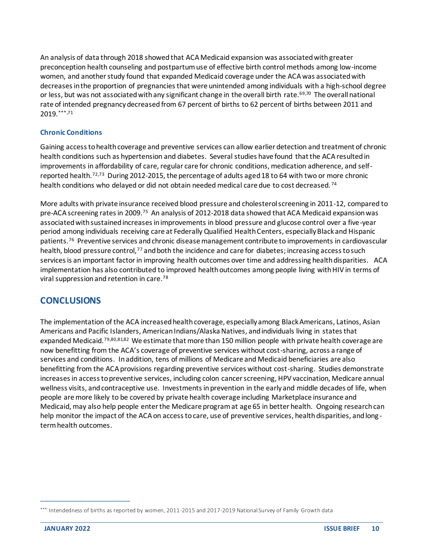An analysis of data through 2018 showed that ACAMedicaid expansion was associated with greater preconception health counseling and postpartum use of effective birth control methods among low-income women, and another study found that expanded Medicaid coverage under the ACA was associated with decreasesin the proportion of pregnancies that were unintended among individuals with a high-school degree or less, but was not associated with any significant change in the overall birth rate.<sup>69,70</sup> The overall national rate of intended pregnancy decreased from 67 percent of births to 62 percent of births between 2011 and 2019. \*\*\*,71

## **Chronic Conditions**

Gaining access to health coverage and preventive services can allow earlier detection and treatment of chronic health conditions such as hypertension and diabetes. Several studies have found that the ACA resulted in improvements in affordability of care, regular care for chronic conditions, medication adherence, and selfreported health.<sup>72,73</sup> During 2012-2015, the percentage of adults aged 18 to 64 with two or more chronic health conditions who delayed or did not obtain needed medical care due to cost decreased.<sup>74</sup>

More adults with private insurance received blood pressure and cholesterol screening in 2011-12, compared to pre-ACA screening rates in 2009.<sup>75</sup> An analysis of 2012-2018 data showed that ACA Medicaid expansion was associated with sustained increases in improvements in blood pressure and glucose control over a five-year period among individuals receiving care at Federally Qualified Health Centers, especially Black and Hispanic patients.<sup>76</sup> Preventive services and chronic disease management contribute to improvements in cardiovascular health, blood pressure control, 77 and both the incidence and care for diabetes; increasing access to such services is an important factor in improving health outcomes over time and addressing health disparities. ACA implementation has also contributed to improved health outcomes among people living with HIV in terms of viral suppression and retention in care. 78

## **CONCLUSIONS**

The implementation of the ACA increased health coverage, especially among Black Americans, Latinos, Asian Americans and Pacific Islanders, American Indians/Alaska Natives, and individuals living in states that expanded Medicaid.<sup>79,80,81,82</sup> We estimate that more than 150 million people with private health coverage are now benefitting from the ACA's coverage of preventive services without cost-sharing, across a range of services and conditions. In addition, tens of millions of Medicare and Medicaid beneficiaries are also benefitting from the ACA provisions regarding preventive services without cost-sharing. Studies demonstrate increases in access to preventive services, including colon cancer screening, HPV vaccination, Medicare annual wellness visits, and contraceptive use. Investments in prevention in the early and middle decades of life, when people are more likely to be covered by private health coverage including Marketplace insurance and Medicaid, may also help people enter the Medicare program at age 65 in better health. Ongoing research can help monitor the impact of the ACA on access to care, use of preventive services, health disparities, and long term health outcomes.

<sup>\*\*\*</sup> Intendedness of births as reported by women, 2011-2015 and 2017-2019 National Survey of Family Growth data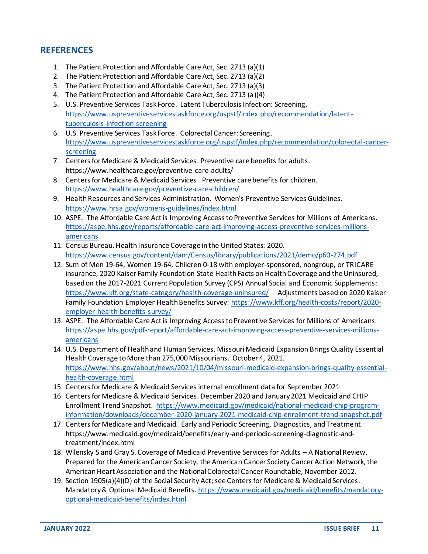# **REFERENCES**

- 1. The Patient Protection and Affordable Care Act, Sec. 2713 (a)(1)
- 2. The Patient Protection and Affordable Care Act, Sec. 2713 (a)(2)
- 3. The Patient Protection and Affordable Care Act, Sec. 2713 (a)(3)
- 4. The Patient Protection and Affordable Care Act, Sec. 2713 (a)(4)
- 5. U.S. Preventive Services Task Force. Latent Tuberculosis Infection: Screening. [https://www.uspreventiveservicestaskforce.org/uspstf/index.php/recommendation/latent](https://www.uspreventiveservicestaskforce.org/uspstf/index.php/recommendation/latent-tuberculosis-infection-screening)[tuberculosis-infection-screening](https://www.uspreventiveservicestaskforce.org/uspstf/index.php/recommendation/latent-tuberculosis-infection-screening)
- 6. U.S. Preventive Services Task Force. Colorectal Cancer: Screening. [https://www.uspreventiveservicestaskforce.org/uspstf/index.php/recommendation/colorectal-cancer](https://www.uspreventiveservicestaskforce.org/uspstf/index.php/recommendation/colorectal-cancer-screening)[screening](https://www.uspreventiveservicestaskforce.org/uspstf/index.php/recommendation/colorectal-cancer-screening)
- 7. Centers for Medicare & Medicaid Services. Preventive care benefits for adults. https://www.healthcare.gov/preventive-care-adults/
- 8. Centers for Medicare & Medicaid Services. Preventive care benefits for children. <https://www.healthcare.gov/preventive-care-children/>
- 9. Health Resources and Services Administration. Women's Preventive Services Guidelines. <https://www.hrsa.gov/womens-guidelines/index.html>
- 10. ASPE. The Affordable Care Act is Improving Access to Preventive Services for Millions of Americans. [https://aspe.hhs.gov/reports/affordable-care-act-improving-access-preventive-services-millions](https://aspe.hhs.gov/reports/affordable-care-act-improving-access-preventive-services-millions-americans)[americans](https://aspe.hhs.gov/reports/affordable-care-act-improving-access-preventive-services-millions-americans)
- 11. Census Bureau. Health Insurance Coverage in the United States: 2020. <https://www.census.gov/content/dam/Census/library/publications/2021/demo/p60-274.pdf>
- 12. Sum of Men 19-64, Women 19-64, Children 0-18 with employer-sponsored, nongroup, or TRICARE insurance, 2020 Kaiser Family Foundation State Health Facts on Health Coverage and the Uninsured, based on the 2017-2021 Current Population Survey (CPS) Annual Social and Economic Supplements: <https://www.kff.org/state-category/health-coverage-uninsured/>Adjustments based on 2020 Kaiser Family Foundation Employer Health Benefits Survey: [https://www.kff.org/health-costs/report/2020](https://www.kff.org/health-costs/report/2020-employer-health-benefits-survey/) [employer-health-benefits-survey/](https://www.kff.org/health-costs/report/2020-employer-health-benefits-survey/)
- 13. ASPE. The Affordable Care Act is Improving Access to Preventive Services for Millions of Americans. [https://aspe.hhs.gov/pdf-report/affordable-care-act-improving-access-preventive-services-millions](https://aspe.hhs.gov/pdf-report/affordable-care-act-improving-access-preventive-services-millions-americans)[americans](https://aspe.hhs.gov/pdf-report/affordable-care-act-improving-access-preventive-services-millions-americans)
- 14. U.S. Department of Health and Human Services. Missouri Medicaid Expansion Brings Quality Essential Health Coverage to More than 275,000 Missourians. October 4, 2021. [https://www.hhs.gov/about/news/2021/10/04/missouri-medicaid-expansion-brings-quality-essential](https://www.hhs.gov/about/news/2021/10/04/missouri-medicaid-expansion-brings-quality-essential-health-coverage.html)[health-coverage.html](https://www.hhs.gov/about/news/2021/10/04/missouri-medicaid-expansion-brings-quality-essential-health-coverage.html)
- 15. Centers for Medicare & Medicaid Services internal enrollment data for September 2021
- 16. Centers for Medicare & Medicaid Services. December 2020 and January 2021 Medicaid and CHIP Enrollment Trend Snapshot. [https://www.medicaid.gov/medicaid/national-medicaid-chip-program](https://www.medicaid.gov/medicaid/national-medicaid-chip-program-information/downloads/december-2020-january-2021-medicaid-chip-enrollment-trend-snapshot.pdf)[information/downloads/december-2020-january-2021-medicaid-chip-enrollment-trend-snapshot.pdf](https://www.medicaid.gov/medicaid/national-medicaid-chip-program-information/downloads/december-2020-january-2021-medicaid-chip-enrollment-trend-snapshot.pdf)
- 17. Centers for Medicare and Medicaid. Early and Periodic Screening, Diagnostics, and Treatment. https://www.medicaid.gov/medicaid/benefits/early-and-periodic-screening-diagnostic-andtreatment/index.html
- 18. Wilensky S and Gray S. Coverage of Medicaid Preventive Services for Adults A National Review. Prepared for the American Cancer Society, the American Cancer Society Cancer Action Network, the American Heart Association and the National Colorectal Cancer Roundtable, November 2012.
- 19. Section 1905(a)(4)(D) of the Social Security Act; see Centers for Medicare & Medicaid Services. Mandatory & Optional Medicaid Benefits[. https://www.medicaid.gov/medicaid/benefits/mandatory](https://www.medicaid.gov/medicaid/benefits/mandatory-optional-medicaid-benefits/index.html)[optional-medicaid-benefits/index.html](https://www.medicaid.gov/medicaid/benefits/mandatory-optional-medicaid-benefits/index.html)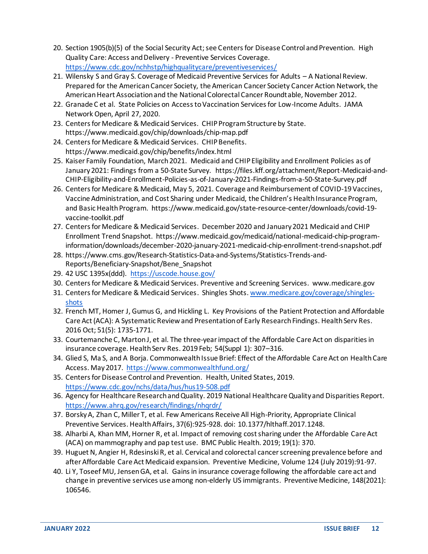- 20. Section 1905(b)(5) of the Social Security Act; see Centers for Disease Control and Prevention. High Quality Care: Access and Delivery - Preventive Services Coverage. <https://www.cdc.gov/nchhstp/highqualitycare/preventiveservices/>
- 21. Wilensky S and Gray S. Coverage of Medicaid Preventive Services for Adults A National Review. Prepared for the American Cancer Society, the American Cancer Society Cancer Action Network, the American Heart Association and the National Colorectal Cancer Roundtable, November 2012.
- 22. Granade C et al. State Policies on Access to Vaccination Services for Low-Income Adults. JAMA Network Open, April 27, 2020.
- 23. Centers for Medicare & Medicaid Services. CHIP Program Structure by State. https://www.medicaid.gov/chip/downloads/chip-map.pdf
- 24. Centers for Medicare & Medicaid Services. CHIP Benefits. https://www.medicaid.gov/chip/benefits/index.html
- 25. Kaiser Family Foundation, March 2021. Medicaid and CHIP Eligibility and Enrollment Policies as of January 2021: Findings from a 50-State Survey. https://files.kff.org/attachment/Report-Medicaid-and-CHIP-Eligibility-and-Enrollment-Policies-as-of-January-2021-Findings-from-a-50-State-Survey.pdf
- 26. Centers for Medicare & Medicaid, May 5, 2021. Coverage and Reimbursement of COVID-19 Vaccines, Vaccine Administration, and Cost Sharing under Medicaid, the Children's Health Insurance Program, and Basic Health Program. https://www.medicaid.gov/state-resource-center/downloads/covid-19 vaccine-toolkit.pdf
- 27. Centers for Medicare & Medicaid Services. December 2020 and January 2021 Medicaid and CHIP Enrollment Trend Snapshot. https://www.medicaid.gov/medicaid/national-medicaid-chip-programinformation/downloads/december-2020-january-2021-medicaid-chip-enrollment-trend-snapshot.pdf
- 28. https://www.cms.gov/Research-Statistics-Data-and-Systems/Statistics-Trends-and-Reports/Beneficiary-Snapshot/Bene\_Snapshot
- 29. 42 USC 1395x(ddd).<https://uscode.house.gov/>
- 30. Centers for Medicare & Medicaid Services. Preventive and Screening Services. www.medicare.gov
- 31. Centers for Medicare & Medicaid Services. Shingles Shots. [www.medicare.gov/coverage/shingles](http://www.medicare.gov/coverage/shingles-shots)[shots](http://www.medicare.gov/coverage/shingles-shots)
- 32. French MT, Homer J, Gumus G, and Hickling L. Key Provisions of the Patient Protection and Affordable Care Act (ACA): A Systematic Review and Presentation of Early Research Findings. Health Serv Res. 2016 Oct; 51(5): 1735-1771.
- 33. Courtemanche C, MartonJ, et al. The three‐year impact of the Affordable Care Act on disparities in insurance coverage. Health Serv Res. 2019 Feb; 54(Suppl 1): 307–316.
- 34. Glied S, Ma S, and A Borja. Commonwealth Issue Brief: Effect of the Affordable Care Act on Health Care Access. May 2017.<https://www.commonwealthfund.org/>
- 35. Centers for Disease Control and Prevention. Health, United States, 2019. <https://www.cdc.gov/nchs/data/hus/hus19-508.pdf>
- 36. Agency for Healthcare Research and Quality. 2019 National Healthcare Quality and Disparities Report. <https://www.ahrq.gov/research/findings/nhqrdr/>
- 37. BorskyA, Zhan C, Miller T, et al. Few Americans Receive All High-Priority, Appropriate Clinical Preventive Services. Health Affairs, 37(6):925-928. doi: 10.1377/hlthaff.2017.1248.
- 38. Alharbi A, Khan MM, Horner R, et al. Impact of removing cost sharing under the Affordable Care Act (ACA) on mammography and pap test use. BMC Public Health. 2019; 19(1): 370.
- 39. Huguet N, Angier H, Rdesinski R, et al. Cervical and colorectal cancer screening prevalence before and after Affordable Care Act Medicaid expansion. Preventive Medicine, Volume 124 (July 2019):91-97.
- 40. Li Y, Toseef MU, Jensen GA, et al. Gains in insurance coverage following the affordable care act and change in preventive services use among non-elderly US immigrants. Preventive Medicine, 148(2021): 106546.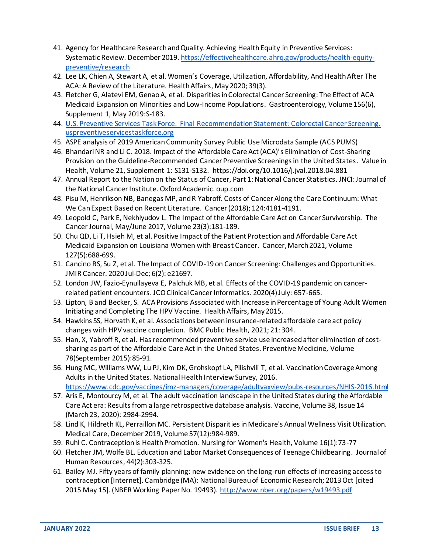- 41. Agency for Healthcare Research and Quality. Achieving Health Equity in Preventive Services: Systematic Review. December 2019[. https://effectivehealthcare.ahrq.gov/products/health-equity](https://effectivehealthcare.ahrq.gov/products/health-equity-preventive/research)[preventive/research](https://effectivehealthcare.ahrq.gov/products/health-equity-preventive/research)
- 42. Lee LK, Chien A, Stewart A, et al. Women's Coverage, Utilization, Affordability, And Health After The ACA: A Review of the Literature. Health Affairs, May 2020; 39(3).
- 43. Fletcher G, Alatevi EM, Genao A, et al. Disparities in Colorectal Cancer Screening: The Effect of ACA Medicaid Expansion on Minorities and Low-Income Populations. Gastroenterology, Volume 156(6), Supplement 1, May 2019:S-183.
- 44. [U.S. Preventive Services Task Force. Final Recommendation Statement:](https://www.uspreventiveservicestaskforce.org/uspstf/recommendation/colorectal-cancer-screening) Colorectal Cancer Screening. [uspreventiveservicestaskforce.org](https://www.uspreventiveservicestaskforce.org/uspstf/recommendation/colorectal-cancer-screening)
- 45. ASPE analysis of 2019 American Community Survey Public Use Microdata Sample (ACS PUMS)
- 46. Bhandari NR and Li C. 2018. Impact of the Affordable Care Act (ACA)'s Elimination of Cost-Sharing Provision on the Guideline-Recommended Cancer Preventive Screenings in the United States. Value in Health, Volume 21, Supplement 1: S131-S132. https://doi.org/10.1016/j.jval.2018.04.881
- 47. Annual Report to the Nation on the Status of Cancer, Part 1: National Cancer Statistics. JNCI: Journal of the National Cancer Institute. Oxford Academic. oup.com
- 48. Pisu M, Henrikson NB, Banegas MP, and R Yabroff. Costs of Cancer Along the Care Continuum: What We Can Expect Based on Recent Literature. Cancer (2018); 124:4181-4191.
- 49. Leopold C, Park E, Nekhlyudov L. The Impact of the Affordable Care Act on Cancer Survivorship. The Cancer Journal, May/June 2017, Volume 23(3):181-189.
- 50. Chu QD, Li T, Hsieh M, et al. Positive Impact of the Patient Protection and Affordable Care Act Medicaid Expansion on Louisiana Women with Breast Cancer. Cancer, March 2021, Volume 127(5):688-699.
- 51. Cancino RS, Su Z, et al. The Impact of COVID-19 on Cancer Screening: Challenges and Opportunities. JMIR Cancer. 2020 Jul-Dec; 6(2): e21697.
- 52. London JW, Fazio-Eynullayeva E, Palchuk MB, et al. Effects of the COVID-19 pandemic on cancerrelated patient encounters. JCO Clinical Cancer Informatics. 2020(4) July: 657-665.
- 53. Lipton, B and Becker, S. ACA Provisions Associated with Increase in Percentage of Young Adult Women Initiating and Completing The HPV Vaccine. Health Affairs, May 2015.
- 54. Hawkins SS, Horvath K, et al. Associations between insurance-related affordable care act policy changes with HPV vaccine completion. BMC Public Health, 2021; 21: 304.
- 55. Han, X, Yabroff R, et al. Has recommended preventive service use increased after elimination of costsharing as part of the Affordable Care Act in the United States. Preventive Medicine, Volume 78(September 2015):85-91.
- 56. Hung MC, Williams WW, Lu PJ, Kim DK, Grohskopf LA, Pilishvili T, et al. Vaccination Coverage Among Adults in the United States. National Health Interview Survey, 2016. <https://www.cdc.gov/vaccines/imz-managers/coverage/adultvaxview/pubs-resources/NHIS-2016.html>
- 57. Aris E, Montourcy M, et al. The adult vaccination landscape in the United States during the Affordable Care Act era: Results from a large retrospective database analysis. Vaccine, Volume 38, Issue 14 (March 23, 2020): 2984-2994.
- 58. Lind K, Hildreth KL, Perraillon MC. Persistent Disparities in Medicare's Annual Wellness Visit Utilization. Medical Care, December 2019, Volume 57(12):984-989.
- 59. Ruhl C. Contraception is Health Promotion. Nursing for Women's Health, Volume 16(1):73-77
- 60. Fletcher JM, Wolfe BL. Education and Labor Market Consequences of Teenage Childbearing. Journal of Human Resources, 44(2):303-325.
- 61. Bailey MJ. Fifty years of family planning: new evidence on the long-run effects of increasing access to contraception [Internet]. Cambridge (MA): National Bureau of Economic Research; 2013 Oct [cited 2015 May 15]. (NBER Working Paper No. 19493).<http://www.nber.org/papers/w19493.pdf>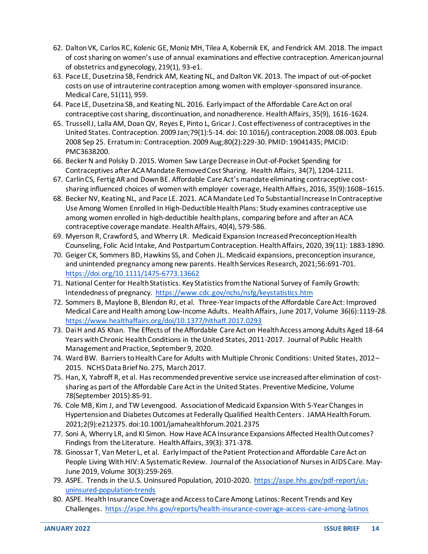- 62. Dalton VK, Carlos RC, Kolenic GE, Moniz MH, Tilea A, Kobernik EK, and Fendrick AM. 2018. The impact of cost sharing on women's use of annual examinations and effective contraception. American journal of obstetrics and gynecology, 219(1), 93-e1.
- 63. Pace LE, Dusetzina SB, Fendrick AM, Keating NL, and Dalton VK. 2013. The impact of out-of-pocket costs on use of intrauterine contraception among women with employer-sponsored insurance. Medical Care, 51(11), 959.
- 64. Pace LE, Dusetzina SB, and Keating NL. 2016. Early impact of the Affordable Care Act on oral contraceptive cost sharing, discontinuation, and nonadherence. Health Affairs, 35(9), 1616-1624.
- 65. Trussell J, Lalla AM, Doan QV, Reyes E, Pinto L, Gricar J. Cost effectiveness of contraceptives in the United States. Contraception. 2009 Jan;79(1):5-14. doi: 10.1016/j.contraception.2008.08.003. Epub 2008 Sep 25. Erratum in: Contraception. 2009 Aug;80(2):229-30. PMID: 19041435; PMCID: PMC3638200.
- 66. Becker N and Polsky D. 2015. Women Saw Large Decrease in Out-of-Pocket Spending for Contraceptives after ACA Mandate Removed Cost Sharing. Health Affairs, 34(7), 1204-1211.
- 67. Carlin CS, Fertig AR and Down BE. Affordable Care Act's mandate eliminating contraceptive costsharing influenced choices of women with employer coverage, Health Affairs, 2016, 35(9):1608–1615.
- 68. Becker NV, Keating NL, and Pace LE. 2021. ACA Mandate Led To Substantial Increase In Contraceptive Use Among Women Enrolled In High-Deductible Health Plans: Study examines contraceptive use among women enrolled in high-deductible health plans, comparing before and after an ACA contraceptive coverage mandate. Health Affairs, 40(4), 579-586.
- 69. Myerson R, Crawford S, and Wherry LR. Medicaid Expansion Increased Preconception Health Counseling, Folic Acid Intake, And Postpartum Contraception. Health Affairs, 2020, 39(11): 1883-1890.
- 70. Geiger CK, Sommers BD, Hawkins SS, and Cohen JL. Medicaid expansions, preconception insurance, and unintended pregnancy among new parents. Health Services Research, 2021;56:691-701. <https://doi.org/10.1111/1475-6773.13662>
- 71. National Center for Health Statistics. Key Statistics from the National Survey of Family Growth: Intendedness of pregnancy.<https://www.cdc.gov/nchs/nsfg/keystatistics.htm>
- 72. Sommers B, Maylone B, Blendon RJ, et al. Three-Year Impacts of the Affordable Care Act: Improved Medical Care and Health among Low-Income Adults. Health Affairs, June 2017, Volume 36(6):1119-28. <https://www.healthaffairs.org/doi/10.1377/hlthaff.2017.0293>
- 73. Dai H and AS Khan. The Effects of the Affordable Care Act on Health Access among Adults Aged 18-64 Years with Chronic Health Conditions in the United States, 2011-2017. Journal of Public Health Management and Practice, September 9, 2020.
- 74. Ward BW. Barriers to Health Care for Adults with Multiple Chronic Conditions: United States, 2012– 2015. NCHS Data Brief No. 275, March 2017.
- 75. Han, X, Yabroff R, et al. Has recommended preventive service use increased after elimination of costsharing as part of the Affordable Care Act in the United States. Preventive Medicine, Volume 78(September 2015):85-91.
- 76. Cole MB, Kim J, and TW Levengood. Association of Medicaid Expansion With 5-Year Changes in Hypertension and Diabetes Outcomes at Federally Qualified Health Centers. JAMA Health Forum. 2021;2(9):e212375. doi:10.1001/jamahealthforum.2021.2375
- 77. Soni A, Wherry LR, and KI Simon. How Have ACA Insurance Expansions Affected Health Outcomes? Findings from the Literature. Health Affairs, 39(3): 371-378.
- 78. Ginossar T, Van Meter L, et al. Early Impact of the Patient Protection and Affordable Care Act on People Living With HIV: A Systematic Review. Journal of the Association of Nurses in AIDS Care. May-June 2019, Volume 30(3):259-269.
- 79. ASPE. Trends in the U.S. Uninsured Population, 2010-2020. [https://aspe.hhs.gov/pdf-report/us](https://aspe.hhs.gov/pdf-report/us-uninsured-population-trends)[uninsured-population-trends](https://aspe.hhs.gov/pdf-report/us-uninsured-population-trends)
- 80. ASPE. Health Insurance Coverage and Access to Care Among Latinos: Recent Trends and Key Challenges.<https://aspe.hhs.gov/reports/health-insurance-coverage-access-care-among-latinos>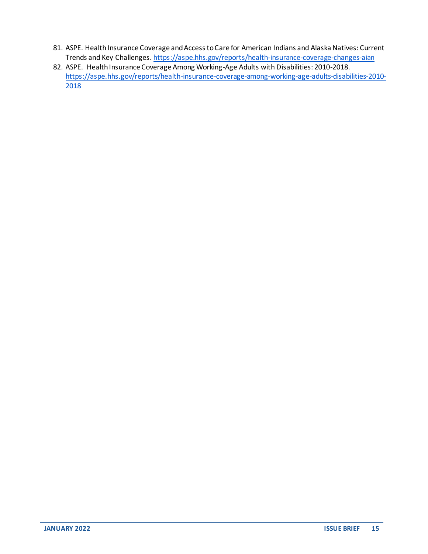- 81. ASPE. Health Insurance Coverage and Access to Care for American Indians and Alaska Natives: Current Trends and Key Challenges[. https://aspe.hhs.gov/reports/health-insurance-coverage-changes-aian](https://aspe.hhs.gov/reports/health-insurance-coverage-changes-aian)
- 82. ASPE. Health Insurance Coverage Among Working-Age Adults with Disabilities: 2010-2018. [https://aspe.hhs.gov/reports/health-insurance-coverage-among-working-age-adults-disabilities-2010-](https://aspe.hhs.gov/reports/health-insurance-coverage-among-working-age-adults-disabilities-2010-2018) [2018](https://aspe.hhs.gov/reports/health-insurance-coverage-among-working-age-adults-disabilities-2010-2018)